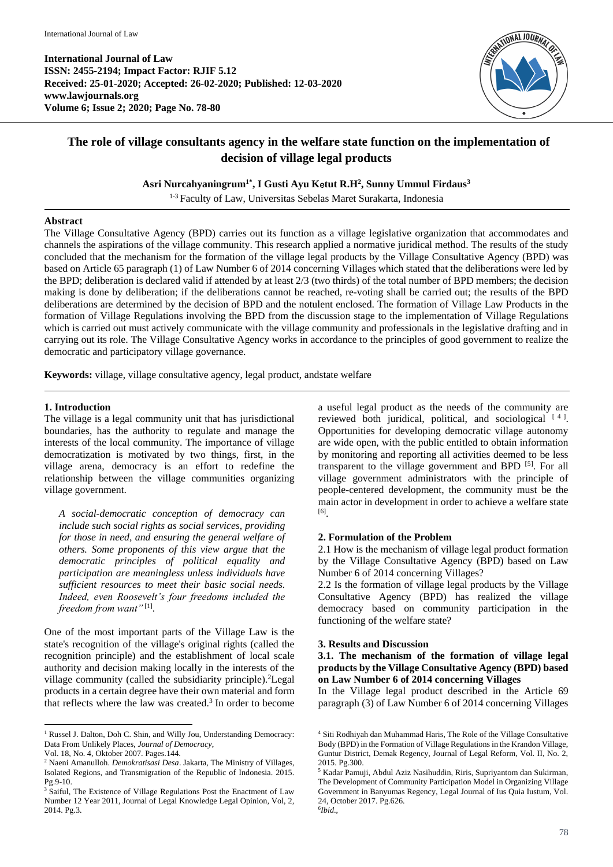**International Journal of Law ISSN: 2455-2194; Impact Factor: RJIF 5.12 Received: 25-01-2020; Accepted: 26-02-2020; Published: 12-03-2020 www.lawjournals.org Volume 6; Issue 2; 2020; Page No. 78-80**



# **The role of village consultants agency in the welfare state function on the implementation of decision of village legal products**

**Asri Nurcahyaningrum1\* , I Gusti Ayu K**e**tut R.H<sup>2</sup> , Sunny Ummul Firdaus<sup>3</sup>**

<sup>1-3</sup> Faculty of Law, Universitas Sebelas Maret Surakarta, Indonesia

#### **Abstract**

The Village Consultative Agency (BPD) carries out its function as a village legislative organization that accommodates and channels the aspirations of the village community. This research applied a normative juridical method. The results of the study concluded that the mechanism for the formation of the village legal products by the Village Consultative Agency (BPD) was based on Article 65 paragraph (1) of Law Number 6 of 2014 concerning Villages which stated that the deliberations were led by the BPD; deliberation is declared valid if attended by at least 2/3 (two thirds) of the total number of BPD members; the decision making is done by deliberation; if the deliberations cannot be reached, re-voting shall be carried out; the results of the BPD deliberations are determined by the decision of BPD and the notulent enclosed. The formation of Village Law Products in the formation of Village Regulations involving the BPD from the discussion stage to the implementation of Village Regulations which is carried out must actively communicate with the village community and professionals in the legislative drafting and in carrying out its role. The Village Consultative Agency works in accordance to the principles of good government to realize the democratic and participatory village governance.

**Keywords:** village, village consultative agency, legal product, andstate welfare

#### **1. Introduction**

The village is a legal community unit that has jurisdictional boundaries, has the authority to regulate and manage the interests of the local community. The importance of village democratization is motivated by two things, first, in the village arena, democracy is an effort to redefine the relationship between the village communities organizing village government.

*A social-democratic conception of democracy can include such social rights as social services, providing for those in need, and ensuring the general welfare of others. Some proponents of this view argue that the democratic principles of political equality and participation are meaningless unless individuals have sufficient resources to meet their basic social needs. Indeed, even Roosevelt's four freedoms included the freedom from want"* [1] .

One of the most important parts of the Village Law is the state's recognition of the village's original rights (called the recognition principle) and the establishment of local scale authority and decision making locally in the interests of the village community (called the subsidiarity principle).<sup>2</sup>Legal products in a certain degree have their own material and form that reflects where the law was created. 3 In order to become

 $\overline{a}$ 

a useful legal product as the needs of the community are reviewed both juridical, political, and sociological [4]. Opportunities for developing democratic village autonomy are wide open, with the public entitled to obtain information by monitoring and reporting all activities deemed to be less transparent to the village government and BPD [5]. For all village government administrators with the principle of people-centered development, the community must be the main actor in development in order to achieve a welfare state [6] .

#### **2. Formulation of the Problem**

2.1 How is the mechanism of village legal product formation by the Village Consultative Agency (BPD) based on Law Number 6 of 2014 concerning Villages?

2.2 Is the formation of village legal products by the Village Consultative Agency (BPD) has realized the village democracy based on community participation in the functioning of the welfare state?

#### **3. Results and Discussion**

#### **3.1. The mechanism of the formation of village legal products by the Village Consultative Agency (BPD) based on Law Number 6 of 2014 concerning Villages**

In the Village legal product described in the Article 69 paragraph (3) of Law Number 6 of 2014 concerning Villages

<sup>&</sup>lt;sup>1</sup> Russel J. Dalton, Doh C. Shin, and Willy Jou, Understanding Democracy: Data From Unlikely Places, *Journal of Democracy*,

Vol. 18, No. 4, Oktober 2007. Pages.144.

<sup>2</sup> Naeni Amanulloh. *Demokratisasi Desa*. Jakarta, The Ministry of Villages, Isolated Regions, and Transmigration of the Republic of Indonesia. 2015. Pg.9-10.

<sup>&</sup>lt;sup>3</sup> Saiful, The Existence of Village Regulations Post the Enactment of Law Number 12 Year 2011, Journal of Legal Knowledge Legal Opinion, Vol, 2, 2014. Pg.3.

<sup>4</sup> Siti Rodhiyah dan Muhammad Haris, The Role of the Village Consultative Body (BPD) in the Formation of Village Regulations in the Krandon Village, Guntur District, Demak Regency, Journal of Legal Reform, Vol. II, No. 2, 2015. Pg.300.

<sup>5</sup> Kadar Pamuji, Abdul Aziz Nasihuddin, Riris, Supriyantom dan Sukirman, The Development of Community Participation Model in Organizing Village Government in Banyumas Regency, Legal Journal of Ius Quia Iustum, Vol. 24, October 2017. Pg.626. 6 *Ibid*.,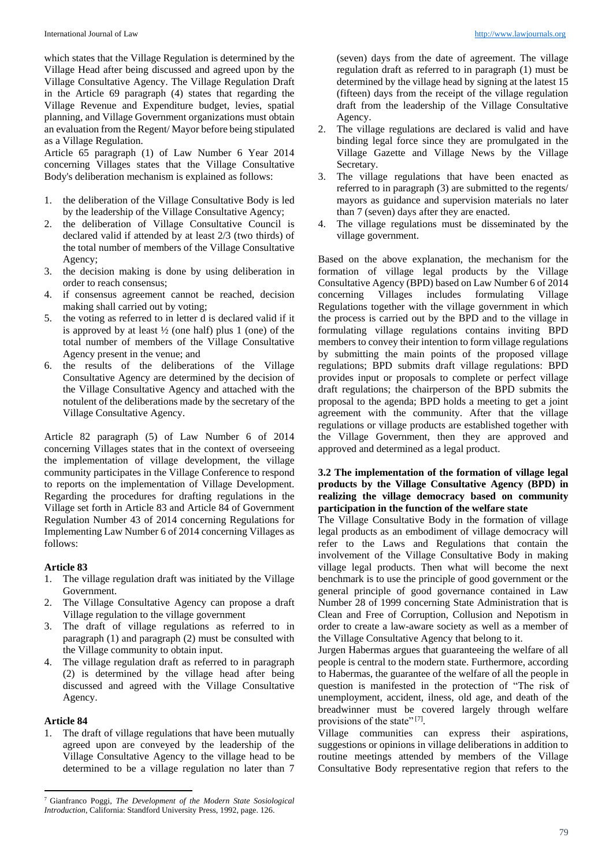which states that the Village Regulation is determined by the Village Head after being discussed and agreed upon by the Village Consultative Agency. The Village Regulation Draft in the Article 69 paragraph (4) states that regarding the Village Revenue and Expenditure budget, levies, spatial planning, and Village Government organizations must obtain an evaluation from the Regent/ Mayor before being stipulated as a Village Regulation.

Article 65 paragraph (1) of Law Number 6 Year 2014 concerning Villages states that the Village Consultative Body's deliberation mechanism is explained as follows:

- 1. the deliberation of the Village Consultative Body is led by the leadership of the Village Consultative Agency;
- 2. the deliberation of Village Consultative Council is declared valid if attended by at least 2/3 (two thirds) of the total number of members of the Village Consultative Agency;
- 3. the decision making is done by using deliberation in order to reach consensus;
- 4. if consensus agreement cannot be reached, decision making shall carried out by voting;
- 5. the voting as referred to in letter d is declared valid if it is approved by at least  $\frac{1}{2}$  (one half) plus 1 (one) of the total number of members of the Village Consultative Agency present in the venue; and
- 6. the results of the deliberations of the Village Consultative Agency are determined by the decision of the Village Consultative Agency and attached with the notulent of the deliberations made by the secretary of the Village Consultative Agency.

Article 82 paragraph (5) of Law Number 6 of 2014 concerning Villages states that in the context of overseeing the implementation of village development, the village community participates in the Village Conference to respond to reports on the implementation of Village Development. Regarding the procedures for drafting regulations in the Village set forth in Article 83 and Article 84 of Government Regulation Number 43 of 2014 concerning Regulations for Implementing Law Number 6 of 2014 concerning Villages as follows:

# **Article 83**

- 1. The village regulation draft was initiated by the Village Government.
- 2. The Village Consultative Agency can propose a draft Village regulation to the village government
- 3. The draft of village regulations as referred to in paragraph (1) and paragraph (2) must be consulted with the Village community to obtain input.
- 4. The village regulation draft as referred to in paragraph (2) is determined by the village head after being discussed and agreed with the Village Consultative Agency.

# **Article 84**

 $\overline{a}$ 

1. The draft of village regulations that have been mutually agreed upon are conveyed by the leadership of the Village Consultative Agency to the village head to be determined to be a village regulation no later than 7

(seven) days from the date of agreement. The village regulation draft as referred to in paragraph (1) must be determined by the village head by signing at the latest 15 (fifteen) days from the receipt of the village regulation draft from the leadership of the Village Consultative Agency.

- 2. The village regulations are declared is valid and have binding legal force since they are promulgated in the Village Gazette and Village News by the Village Secretary.
- 3. The village regulations that have been enacted as referred to in paragraph (3) are submitted to the regents/ mayors as guidance and supervision materials no later than 7 (seven) days after they are enacted.
- 4. The village regulations must be disseminated by the village government.

Based on the above explanation, the mechanism for the formation of village legal products by the Village Consultative Agency (BPD) based on Law Number 6 of 2014 concerning Villages includes formulating Village Regulations together with the village government in which the process is carried out by the BPD and to the village in formulating village regulations contains inviting BPD members to convey their intention to form village regulations by submitting the main points of the proposed village regulations; BPD submits draft village regulations: BPD provides input or proposals to complete or perfect village draft regulations; the chairperson of the BPD submits the proposal to the agenda; BPD holds a meeting to get a joint agreement with the community. After that the village regulations or village products are established together with the Village Government, then they are approved and approved and determined as a legal product.

# **3.2 The implementation of the formation of village legal products by the Village Consultative Agency (BPD) in realizing the village democracy based on community participation in the function of the welfare state**

The Village Consultative Body in the formation of village legal products as an embodiment of village democracy will refer to the Laws and Regulations that contain the involvement of the Village Consultative Body in making village legal products. Then what will become the next benchmark is to use the principle of good government or the general principle of good governance contained in Law Number 28 of 1999 concerning State Administration that is Clean and Free of Corruption, Collusion and Nepotism in order to create a law-aware society as well as a member of the Village Consultative Agency that belong to it.

Jurgen Habermas argues that guaranteeing the welfare of all people is central to the modern state. Furthermore, according to Habermas, the guarantee of the welfare of all the people in question is manifested in the protection of "The risk of unemployment, accident, ilness, old age, and death of the breadwinner must be covered largely through welfare provisions of the state"<sup>[7]</sup>.

Village communities can express their aspirations, suggestions or opinions in village deliberations in addition to routine meetings attended by members of the Village Consultative Body representative region that refers to the

<sup>7</sup> Gianfranco Poggi, *The Development of the Modern State Sosiological Introduction*, California: Standford University Press, 1992, page. 126.